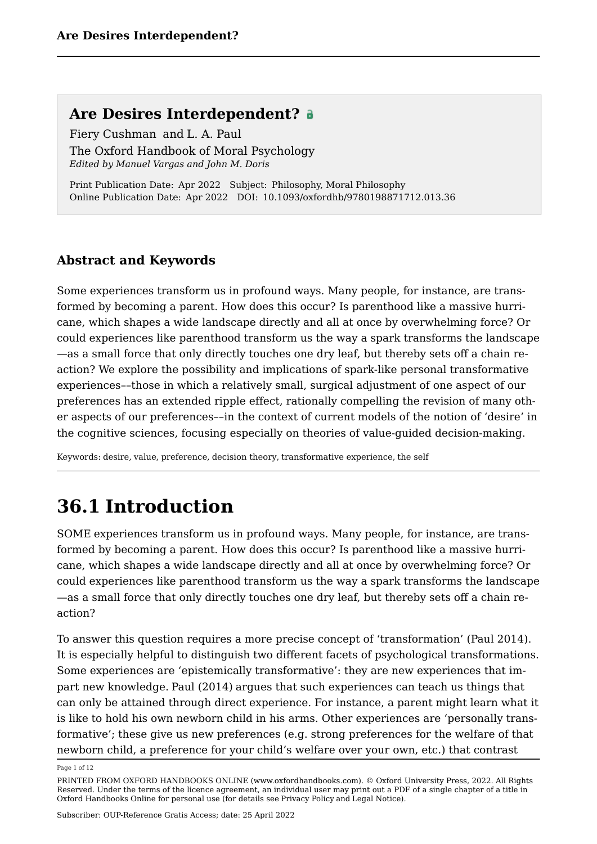Fiery Cushman and L. A. Paul [The Oxford Handbook of Moral Psychology](https://www.oxfordhandbooks.com/view/10.1093/oxfordhb/9780198871712.001.0001/oxfordhb-9780198871712) *Edited by Manuel Vargas and John M. Doris*

Print Publication Date: Apr 2022 Subject: Philosophy, Moral Philosophy Online Publication Date: Apr 2022 DOI: 10.1093/oxfordhb/9780198871712.013.36

### **Abstract and Keywords**

Some experiences transform us in profound ways. Many people, for instance, are transformed by becoming a parent. How does this occur? Is parenthood like a massive hurricane, which shapes a wide landscape directly and all at once by overwhelming force? Or could experiences like parenthood transform us the way a spark transforms the landscape —as a small force that only directly touches one dry leaf, but thereby sets off a chain reaction? We explore the possibility and implications of spark-like personal transformative experiences––those in which a relatively small, surgical adjustment of one aspect of our preferences has an extended ripple effect, rationally compelling the revision of many other aspects of our preferences––in the context of current models of the notion of 'desire' in the cognitive sciences, focusing especially on theories of value-guided decision-making.

Keywords: [desire,](https://www.oxfordhandbooks.com/search?f_0=keyword&q_0=desire) [value](https://www.oxfordhandbooks.com/search?f_0=keyword&q_0=value), [preference,](https://www.oxfordhandbooks.com/search?f_0=keyword&q_0=preference) [decision theory,](https://www.oxfordhandbooks.com/search?f_0=keyword&q_0=decision theory) [transformative experience,](https://www.oxfordhandbooks.com/search?f_0=keyword&q_0=transformative experience) [the self](https://www.oxfordhandbooks.com/search?f_0=keyword&q_0=the self)

## **36.1 Introduction**

SOME experiences transform us in profound ways. Many people, for instance, are transformed by becoming a parent. How does this occur? Is parenthood like a massive hurricane, which shapes a wide landscape directly and all at once by overwhelming force? Or could experiences like parenthood transform us the way a spark transforms the landscape —as a small force that only directly touches one dry leaf, but thereby sets off a chain reaction?

To answer this question requires a more precise concept of 'transformation' ([Paul 2014\)](#page-10-0). It is especially helpful to distinguish two different facets of psychological transformations. Some experiences are 'epistemically transformative': they are new experiences that impart new knowledge. [Paul \(2014\)](#page-10-0) argues that such experiences can teach us things that can only be attained through direct experience. For instance, a parent might learn what it is like to hold his own newborn child in his arms. Other experiences are 'personally transformative'; these give us new preferences (e.g. strong preferences for the welfare of that newborn child, a preference for your child's welfare over your own, etc.) that contrast

Page 1 of 12

PRINTED FROM OXFORD HANDBOOKS ONLINE (www.oxfordhandbooks.com). © Oxford University Press, 2022. All Rights Reserved. Under the terms of the licence agreement, an individual user may print out a PDF of a single chapter of a title in Oxford Handbooks Online for personal use (for details see [Privacy Policy](https://global.oup.com/privacy) and [Legal Notice\)](https://www.oxfordhandbooks.com/page/legal-notice).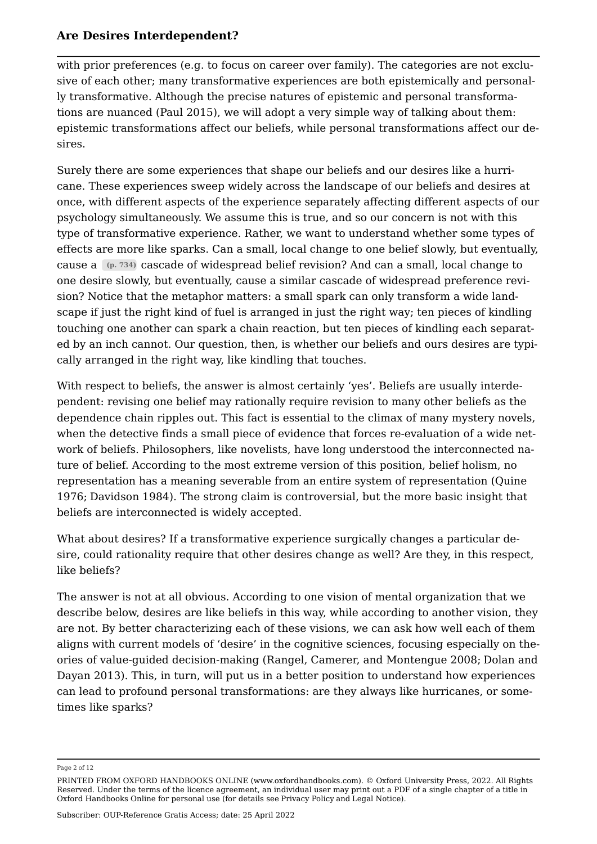with prior preferences (e.g. to focus on career over family). The categories are not exclusive of each other; many transformative experiences are both epistemically and personally transformative. Although the precise natures of epistemic and personal transformations are nuanced ([Paul 2015\)](#page-10-1), we will adopt a very simple way of talking about them: epistemic transformations affect our beliefs, while personal transformations affect our desires.

Surely there are some experiences that shape our beliefs and our desires like a hurricane. These experiences sweep widely across the landscape of our beliefs and desires at once, with different aspects of the experience separately affecting different aspects of our psychology simultaneously. We assume this is true, and so our concern is not with this type of transformative experience. Rather, we want to understand whether some types of effects are more like sparks. Can a small, local change to one belief slowly, but eventually, cause a **(p. 734)** cascade of widespread belief revision? And can a small, local change to one desire slowly, but eventually, cause a similar cascade of widespread preference revision? Notice that the metaphor matters: a small spark can only transform a wide landscape if just the right kind of fuel is arranged in just the right way; ten pieces of kindling touching one another can spark a chain reaction, but ten pieces of kindling each separated by an inch cannot. Our question, then, is whether our beliefs and ours desires are typically arranged in the right way, like kindling that touches.

With respect to beliefs, the answer is almost certainly 'yes'. Beliefs are usually interdependent: revising one belief may rationally require revision to many other beliefs as the dependence chain ripples out. This fact is essential to the climax of many mystery novels, when the detective finds a small piece of evidence that forces re-evaluation of a wide network of beliefs. Philosophers, like novelists, have long understood the interconnected nature of belief. According to the most extreme version of this position, belief holism, no representation has a meaning severable from an entire system of representation (Quine 1976; [Davidson 1984\)](#page-10-2). The strong claim is controversial, but the more basic insight that beliefs are interconnected is widely accepted.

What about desires? If a transformative experience surgically changes a particular desire, could rationality require that other desires change as well? Are they, in this respect, like beliefs?

The answer is not at all obvious. According to one vision of mental organization that we describe below, desires are like beliefs in this way, while according to another vision, they are not. By better characterizing each of these visions, we can ask how well each of them aligns with current models of 'desire' in the cognitive sciences, focusing especially on theories of value-guided decision-making [\(Rangel, Camerer, and Montengue 2008](#page-11-0); [Dolan and](#page-10-3)  [Dayan 2013](#page-10-3)). This, in turn, will put us in a better position to understand how experiences can lead to profound personal transformations: are they always like hurricanes, or sometimes like sparks?

Page 2 of 12

PRINTED FROM OXFORD HANDBOOKS ONLINE (www.oxfordhandbooks.com). © Oxford University Press, 2022. All Rights Reserved. Under the terms of the licence agreement, an individual user may print out a PDF of a single chapter of a title in Oxford Handbooks Online for personal use (for details see [Privacy Policy](https://global.oup.com/privacy) and [Legal Notice\)](https://www.oxfordhandbooks.com/page/legal-notice).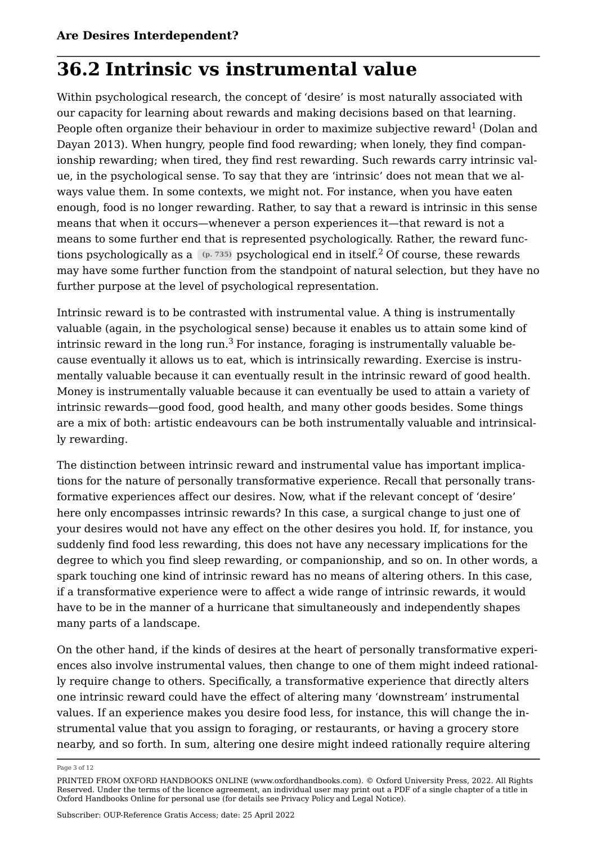## **36.2 Intrinsic vs instrumental value**

<span id="page-2-0"></span>Within psychological research, the concept of 'desire' is most naturally associated with our capacity for learning about rewards and making decisions based on that learning. People often organize their behaviour in order to maximize subjective reward $^1$  $^1$  [\(Dolan and](#page-10-3) [Dayan 2013](#page-10-3)). When hungry, people find food rewarding; when lonely, they find companionship rewarding; when tired, they find rest rewarding. Such rewards carry intrinsic value, in the psychological sense. To say that they are 'intrinsic' does not mean that we always value them. In some contexts, we might not. For instance, when you have eaten enough, food is no longer rewarding. Rather, to say that a reward is intrinsic in this sense means that when it occurs—whenever a person experiences it—that reward is not a means to some further end that is represented psychologically. Rather, the reward functions psychologically as a **(p. 735)** psychological end in itself.[2](#page-11-2) Of course, these rewards may have some further function from the standpoint of natural selection, but they have no further purpose at the level of psychological representation.

<span id="page-2-2"></span><span id="page-2-1"></span>Intrinsic reward is to be contrasted with instrumental value. A thing is instrumentally valuable (again, in the psychological sense) because it enables us to attain some kind of intrinsic reward in the long run.<sup>[3](#page-11-3)</sup> For instance, foraging is instrumentally valuable because eventually it allows us to eat, which is intrinsically rewarding. Exercise is instrumentally valuable because it can eventually result in the intrinsic reward of good health. Money is instrumentally valuable because it can eventually be used to attain a variety of intrinsic rewards—good food, good health, and many other goods besides. Some things are a mix of both: artistic endeavours can be both instrumentally valuable and intrinsically rewarding.

The distinction between intrinsic reward and instrumental value has important implications for the nature of personally transformative experience. Recall that personally transformative experiences affect our desires. Now, what if the relevant concept of 'desire' here only encompasses intrinsic rewards? In this case, a surgical change to just one of your desires would not have any effect on the other desires you hold. If, for instance, you suddenly find food less rewarding, this does not have any necessary implications for the degree to which you find sleep rewarding, or companionship, and so on. In other words, a spark touching one kind of intrinsic reward has no means of altering others. In this case, if a transformative experience were to affect a wide range of intrinsic rewards, it would have to be in the manner of a hurricane that simultaneously and independently shapes many parts of a landscape.

On the other hand, if the kinds of desires at the heart of personally transformative experiences also involve instrumental values, then change to one of them might indeed rationally require change to others. Specifically, a transformative experience that directly alters one intrinsic reward could have the effect of altering many 'downstream' instrumental values. If an experience makes you desire food less, for instance, this will change the instrumental value that you assign to foraging, or restaurants, or having a grocery store nearby, and so forth. In sum, altering one desire might indeed rationally require altering

Page 3 of 12

PRINTED FROM OXFORD HANDBOOKS ONLINE (www.oxfordhandbooks.com). © Oxford University Press, 2022. All Rights Reserved. Under the terms of the licence agreement, an individual user may print out a PDF of a single chapter of a title in Oxford Handbooks Online for personal use (for details see [Privacy Policy](https://global.oup.com/privacy) and [Legal Notice\)](https://www.oxfordhandbooks.com/page/legal-notice).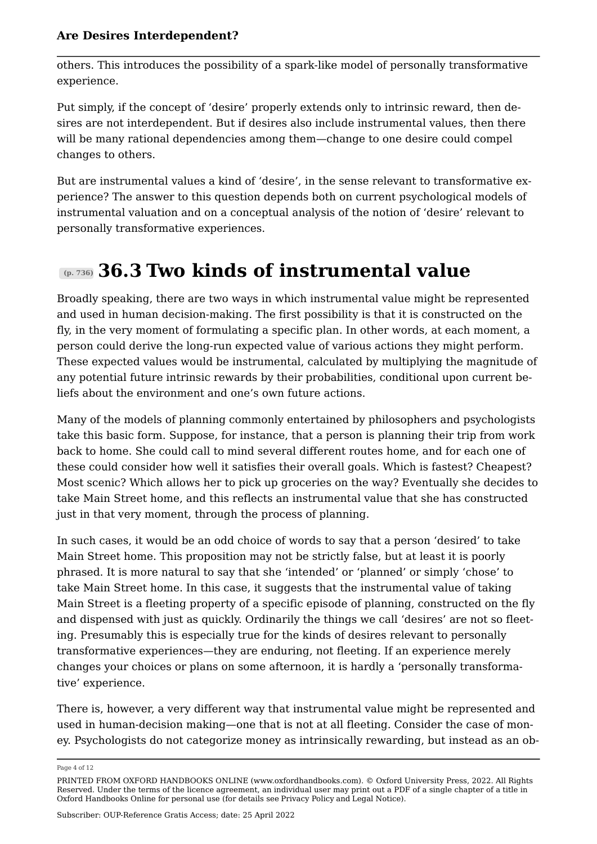others. This introduces the possibility of a spark-like model of personally transformative experience.

Put simply, if the concept of 'desire' properly extends only to intrinsic reward, then desires are not interdependent. But if desires also include instrumental values, then there will be many rational dependencies among them—change to one desire could compel changes to others.

But are instrumental values a kind of 'desire', in the sense relevant to transformative experience? The answer to this question depends both on current psychological models of instrumental valuation and on a conceptual analysis of the notion of 'desire' relevant to personally transformative experiences.

### **(p. 736) 36.3 Two kinds of instrumental value**

Broadly speaking, there are two ways in which instrumental value might be represented and used in human decision-making. The first possibility is that it is constructed on the fly, in the very moment of formulating a specific plan. In other words, at each moment, a person could derive the long-run expected value of various actions they might perform. These expected values would be instrumental, calculated by multiplying the magnitude of any potential future intrinsic rewards by their probabilities, conditional upon current beliefs about the environment and one's own future actions.

Many of the models of planning commonly entertained by philosophers and psychologists take this basic form. Suppose, for instance, that a person is planning their trip from work back to home. She could call to mind several different routes home, and for each one of these could consider how well it satisfies their overall goals. Which is fastest? Cheapest? Most scenic? Which allows her to pick up groceries on the way? Eventually she decides to take Main Street home, and this reflects an instrumental value that she has constructed just in that very moment, through the process of planning.

In such cases, it would be an odd choice of words to say that a person 'desired' to take Main Street home. This proposition may not be strictly false, but at least it is poorly phrased. It is more natural to say that she 'intended' or 'planned' or simply 'chose' to take Main Street home. In this case, it suggests that the instrumental value of taking Main Street is a fleeting property of a specific episode of planning, constructed on the fly and dispensed with just as quickly. Ordinarily the things we call 'desires' are not so fleeting. Presumably this is especially true for the kinds of desires relevant to personally transformative experiences—they are enduring, not fleeting. If an experience merely changes your choices or plans on some afternoon, it is hardly a 'personally transformative' experience.

There is, however, a very different way that instrumental value might be represented and used in human-decision making—one that is not at all fleeting. Consider the case of money. Psychologists do not categorize money as intrinsically rewarding, but instead as an ob

Page 4 of 12

PRINTED FROM OXFORD HANDBOOKS ONLINE (www.oxfordhandbooks.com). © Oxford University Press, 2022. All Rights Reserved. Under the terms of the licence agreement, an individual user may print out a PDF of a single chapter of a title in Oxford Handbooks Online for personal use (for details see [Privacy Policy](https://global.oup.com/privacy) and [Legal Notice\)](https://www.oxfordhandbooks.com/page/legal-notice).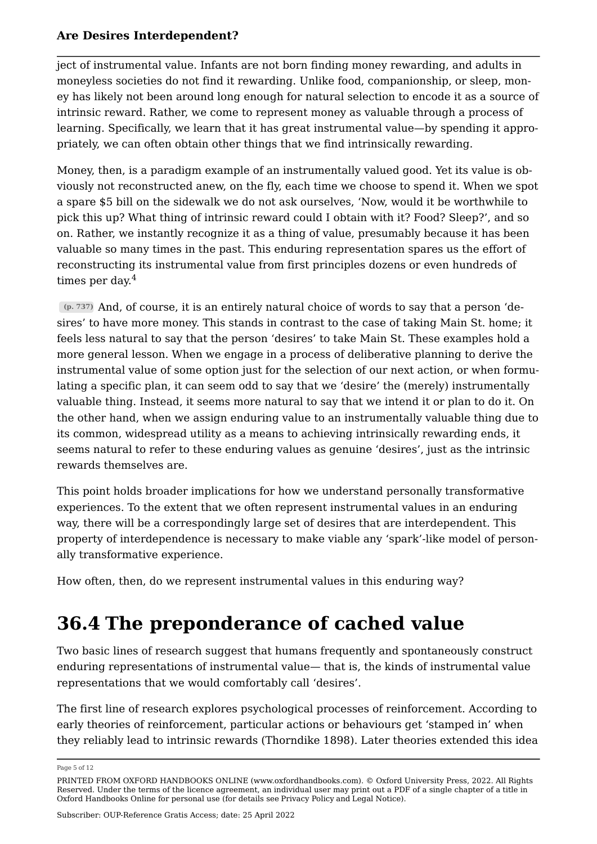ject of instrumental value. Infants are not born finding money rewarding, and adults in moneyless societies do not find it rewarding. Unlike food, companionship, or sleep, money has likely not been around long enough for natural selection to encode it as a source of intrinsic reward. Rather, we come to represent money as valuable through a process of learning. Specifically, we learn that it has great instrumental value—by spending it appropriately, we can often obtain other things that we find intrinsically rewarding.

Money, then, is a paradigm example of an instrumentally valued good. Yet its value is obviously not reconstructed anew, on the fly, each time we choose to spend it. When we spot a spare \$5 bill on the sidewalk we do not ask ourselves, 'Now, would it be worthwhile to pick this up? What thing of intrinsic reward could I obtain with it? Food? Sleep?', and so on. Rather, we instantly recognize it as a thing of value, presumably because it has been valuable so many times in the past. This enduring representation spares us the effort of reconstructing its instrumental value from first principles dozens or even hundreds of times per day.[4](#page-11-4)

<span id="page-4-0"></span>**(p. 737)** And, of course, it is an entirely natural choice of words to say that a person 'desires' to have more money. This stands in contrast to the case of taking Main St. home; it feels less natural to say that the person 'desires' to take Main St. These examples hold a more general lesson. When we engage in a process of deliberative planning to derive the instrumental value of some option just for the selection of our next action, or when formulating a specific plan, it can seem odd to say that we 'desire' the (merely) instrumentally valuable thing. Instead, it seems more natural to say that we intend it or plan to do it. On the other hand, when we assign enduring value to an instrumentally valuable thing due to its common, widespread utility as a means to achieving intrinsically rewarding ends, it seems natural to refer to these enduring values as genuine 'desires', just as the intrinsic rewards themselves are.

This point holds broader implications for how we understand personally transformative experiences. To the extent that we often represent instrumental values in an enduring way, there will be a correspondingly large set of desires that are interdependent. This property of interdependence is necessary to make viable any 'spark'-like model of personally transformative experience.

How often, then, do we represent instrumental values in this enduring way?

## **36.4 The preponderance of cached value**

Two basic lines of research suggest that humans frequently and spontaneously construct enduring representations of instrumental value— that is, the kinds of instrumental value representations that we would comfortably call 'desires'.

The first line of research explores psychological processes of reinforcement. According to early theories of reinforcement, particular actions or behaviours get 'stamped in' when they reliably lead to intrinsic rewards ([Thorndike 1898](#page-11-5)). Later theories extended this idea

Page 5 of 12

PRINTED FROM OXFORD HANDBOOKS ONLINE (www.oxfordhandbooks.com). © Oxford University Press, 2022. All Rights Reserved. Under the terms of the licence agreement, an individual user may print out a PDF of a single chapter of a title in Oxford Handbooks Online for personal use (for details see [Privacy Policy](https://global.oup.com/privacy) and [Legal Notice\)](https://www.oxfordhandbooks.com/page/legal-notice).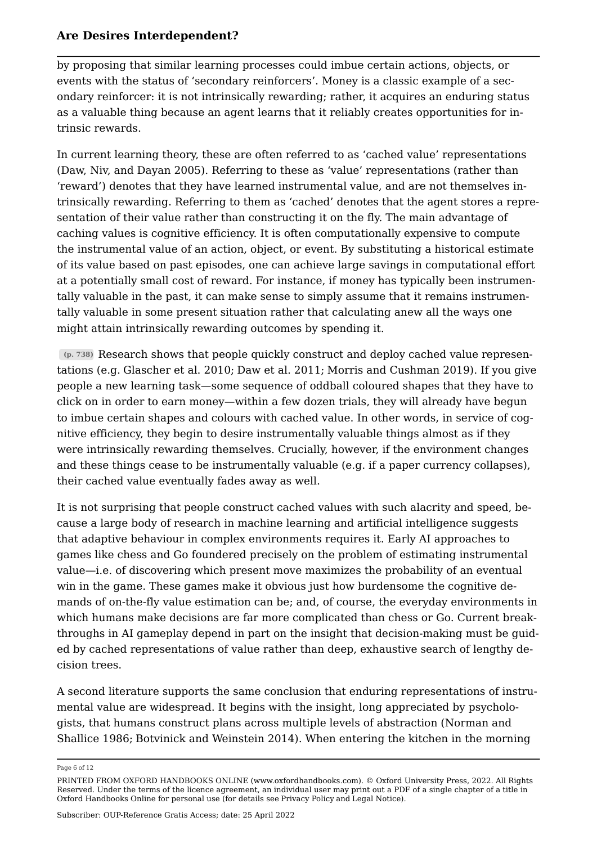by proposing that similar learning processes could imbue certain actions, objects, or events with the status of 'secondary reinforcers'. Money is a classic example of a secondary reinforcer: it is not intrinsically rewarding; rather, it acquires an enduring status as a valuable thing because an agent learns that it reliably creates opportunities for intrinsic rewards.

In current learning theory, these are often referred to as 'cached value' representations ([Daw, Niv, and Dayan 2005](#page-10-4)). Referring to these as 'value' representations (rather than 'reward') denotes that they have learned instrumental value, and are not themselves intrinsically rewarding. Referring to them as 'cached' denotes that the agent stores a representation of their value rather than constructing it on the fly. The main advantage of caching values is cognitive efficiency. It is often computationally expensive to compute the instrumental value of an action, object, or event. By substituting a historical estimate of its value based on past episodes, one can achieve large savings in computational effort at a potentially small cost of reward. For instance, if money has typically been instrumentally valuable in the past, it can make sense to simply assume that it remains instrumentally valuable in some present situation rather that calculating anew all the ways one might attain intrinsically rewarding outcomes by spending it.

**(p. 738)** Research shows that people quickly construct and deploy cached value representations (e.g. [Glascher et al. 2010](#page-10-5); [Daw et al. 2011](#page-10-6); [Morris and Cushman 2019\)](#page-10-7). If you give people a new learning task—some sequence of oddball coloured shapes that they have to click on in order to earn money—within a few dozen trials, they will already have begun to imbue certain shapes and colours with cached value. In other words, in service of cognitive efficiency, they begin to desire instrumentally valuable things almost as if they were intrinsically rewarding themselves. Crucially, however, if the environment changes and these things cease to be instrumentally valuable (e.g. if a paper currency collapses), their cached value eventually fades away as well.

It is not surprising that people construct cached values with such alacrity and speed, because a large body of research in machine learning and artificial intelligence suggests that adaptive behaviour in complex environments requires it. Early AI approaches to games like chess and Go foundered precisely on the problem of estimating instrumental value—i.e. of discovering which present move maximizes the probability of an eventual win in the game. These games make it obvious just how burdensome the cognitive demands of on-the-fly value estimation can be; and, of course, the everyday environments in which humans make decisions are far more complicated than chess or Go. Current breakthroughs in AI gameplay depend in part on the insight that decision-making must be guided by cached representations of value rather than deep, exhaustive search of lengthy decision trees.

A second literature supports the same conclusion that enduring representations of instrumental value are widespread. It begins with the insight, long appreciated by psychologists, that humans construct plans across multiple levels of abstraction ([Norman and](#page-10-8) [Shallice 1986](#page-10-8); [Botvinick and Weinstein 2014\)](#page-10-9). When entering the kitchen in the morning

Page 6 of 12

PRINTED FROM OXFORD HANDBOOKS ONLINE (www.oxfordhandbooks.com). © Oxford University Press, 2022. All Rights Reserved. Under the terms of the licence agreement, an individual user may print out a PDF of a single chapter of a title in Oxford Handbooks Online for personal use (for details see [Privacy Policy](https://global.oup.com/privacy) and [Legal Notice\)](https://www.oxfordhandbooks.com/page/legal-notice).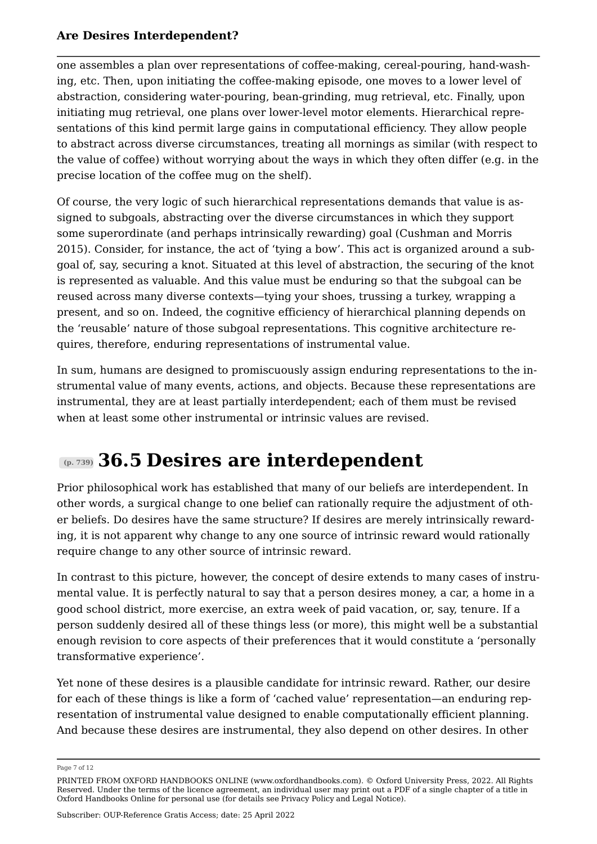one assembles a plan over representations of coffee-making, cereal-pouring, hand-washing, etc. Then, upon initiating the coffee-making episode, one moves to a lower level of abstraction, considering water-pouring, bean-grinding, mug retrieval, etc. Finally, upon initiating mug retrieval, one plans over lower-level motor elements. Hierarchical representations of this kind permit large gains in computational efficiency. They allow people to abstract across diverse circumstances, treating all mornings as similar (with respect to the value of coffee) without worrying about the ways in which they often differ (e.g. in the precise location of the coffee mug on the shelf).

Of course, the very logic of such hierarchical representations demands that value is assigned to subgoals, abstracting over the diverse circumstances in which they support some superordinate (and perhaps intrinsically rewarding) goal ([Cushman and Morris](#page-10-10)  [2015](#page-10-10)). Consider, for instance, the act of 'tying a bow'. This act is organized around a subgoal of, say, securing a knot. Situated at this level of abstraction, the securing of the knot is represented as valuable. And this value must be enduring so that the subgoal can be reused across many diverse contexts—tying your shoes, trussing a turkey, wrapping a present, and so on. Indeed, the cognitive efficiency of hierarchical planning depends on the 'reusable' nature of those subgoal representations. This cognitive architecture requires, therefore, enduring representations of instrumental value.

In sum, humans are designed to promiscuously assign enduring representations to the instrumental value of many events, actions, and objects. Because these representations are instrumental, they are at least partially interdependent; each of them must be revised when at least some other instrumental or intrinsic values are revised.

### **(p. 739) 36.5 Desires are interdependent**

Prior philosophical work has established that many of our beliefs are interdependent. In other words, a surgical change to one belief can rationally require the adjustment of other beliefs. Do desires have the same structure? If desires are merely intrinsically rewarding, it is not apparent why change to any one source of intrinsic reward would rationally require change to any other source of intrinsic reward.

In contrast to this picture, however, the concept of desire extends to many cases of instrumental value. It is perfectly natural to say that a person desires money, a car, a home in a good school district, more exercise, an extra week of paid vacation, or, say, tenure. If a person suddenly desired all of these things less (or more), this might well be a substantial enough revision to core aspects of their preferences that it would constitute a 'personally transformative experience'.

Yet none of these desires is a plausible candidate for intrinsic reward. Rather, our desire for each of these things is like a form of 'cached value' representation—an enduring representation of instrumental value designed to enable computationally efficient planning. And because these desires are instrumental, they also depend on other desires. In other

Page 7 of 12

PRINTED FROM OXFORD HANDBOOKS ONLINE (www.oxfordhandbooks.com). © Oxford University Press, 2022. All Rights Reserved. Under the terms of the licence agreement, an individual user may print out a PDF of a single chapter of a title in Oxford Handbooks Online for personal use (for details see [Privacy Policy](https://global.oup.com/privacy) and [Legal Notice\)](https://www.oxfordhandbooks.com/page/legal-notice).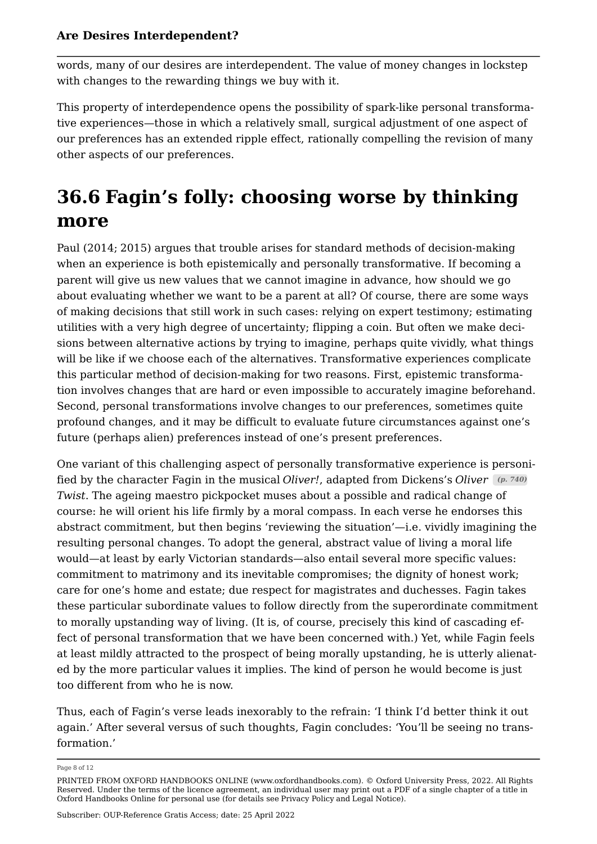words, many of our desires are interdependent. The value of money changes in lockstep with changes to the rewarding things we buy with it.

This property of interdependence opens the possibility of spark-like personal transformative experiences—those in which a relatively small, surgical adjustment of one aspect of our preferences has an extended ripple effect, rationally compelling the revision of many other aspects of our preferences.

# **36.6 Fagin's folly: choosing worse by thinking more**

Paul [\(2014;](#page-10-0) [2015\)](#page-10-1) argues that trouble arises for standard methods of decision-making when an experience is both epistemically and personally transformative. If becoming a parent will give us new values that we cannot imagine in advance, how should we go about evaluating whether we want to be a parent at all? Of course, there are some ways of making decisions that still work in such cases: relying on expert testimony; estimating utilities with a very high degree of uncertainty; flipping a coin. But often we make decisions between alternative actions by trying to imagine, perhaps quite vividly, what things will be like if we choose each of the alternatives. Transformative experiences complicate this particular method of decision-making for two reasons. First, epistemic transformation involves changes that are hard or even impossible to accurately imagine beforehand. Second, personal transformations involve changes to our preferences, sometimes quite profound changes, and it may be difficult to evaluate future circumstances against one's future (perhaps alien) preferences instead of one's present preferences.

One variant of this challenging aspect of personally transformative experience is personified by the character Fagin in the musical *Oliver!*, adapted from Dickens's *Oliver (p. 740) Twist*. The ageing maestro pickpocket muses about a possible and radical change of course: he will orient his life firmly by a moral compass. In each verse he endorses this abstract commitment, but then begins 'reviewing the situation'—i.e. vividly imagining the resulting personal changes. To adopt the general, abstract value of living a moral life would—at least by early Victorian standards—also entail several more specific values: commitment to matrimony and its inevitable compromises; the dignity of honest work; care for one's home and estate; due respect for magistrates and duchesses. Fagin takes these particular subordinate values to follow directly from the superordinate commitment to morally upstanding way of living. (It is, of course, precisely this kind of cascading effect of personal transformation that we have been concerned with.) Yet, while Fagin feels at least mildly attracted to the prospect of being morally upstanding, he is utterly alienated by the more particular values it implies. The kind of person he would become is just too different from who he is now.

Thus, each of Fagin's verse leads inexorably to the refrain: 'I think I'd better think it out again.' After several versus of such thoughts, Fagin concludes: 'You'll be seeing no transformation.'

Page 8 of 12

PRINTED FROM OXFORD HANDBOOKS ONLINE (www.oxfordhandbooks.com). © Oxford University Press, 2022. All Rights Reserved. Under the terms of the licence agreement, an individual user may print out a PDF of a single chapter of a title in Oxford Handbooks Online for personal use (for details see [Privacy Policy](https://global.oup.com/privacy) and [Legal Notice\)](https://www.oxfordhandbooks.com/page/legal-notice).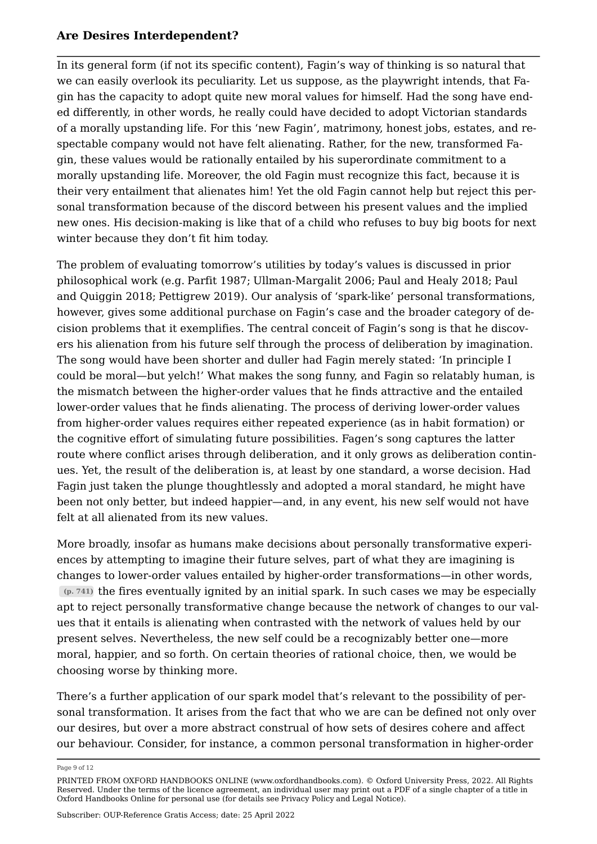In its general form (if not its specific content), Fagin's way of thinking is so natural that we can easily overlook its peculiarity. Let us suppose, as the playwright intends, that Fagin has the capacity to adopt quite new moral values for himself. Had the song have ended differently, in other words, he really could have decided to adopt Victorian standards of a morally upstanding life. For this 'new Fagin', matrimony, honest jobs, estates, and respectable company would not have felt alienating. Rather, for the new, transformed Fagin, these values would be rationally entailed by his superordinate commitment to a morally upstanding life. Moreover, the old Fagin must recognize this fact, because it is their very entailment that alienates him! Yet the old Fagin cannot help but reject this personal transformation because of the discord between his present values and the implied new ones. His decision-making is like that of a child who refuses to buy big boots for next winter because they don't fit him today.

The problem of evaluating tomorrow's utilities by today's values is discussed in prior philosophical work (e.g. [Parfit 1987](#page-10-11); [Ullman-Margalit 2006;](#page-11-6) [Paul and Healy 2018](#page-10-12); [Paul](#page-10-13) [and Quiggin 2018](#page-10-13); [Pettigrew 2019](#page-10-14)). Our analysis of 'spark-like' personal transformations, however, gives some additional purchase on Fagin's case and the broader category of decision problems that it exemplifies. The central conceit of Fagin's song is that he discovers his alienation from his future self through the process of deliberation by imagination. The song would have been shorter and duller had Fagin merely stated: 'In principle I could be moral—but yelch!' What makes the song funny, and Fagin so relatably human, is the mismatch between the higher-order values that he finds attractive and the entailed lower-order values that he finds alienating. The process of deriving lower-order values from higher-order values requires either repeated experience (as in habit formation) or the cognitive effort of simulating future possibilities. Fagen's song captures the latter route where conflict arises through deliberation, and it only grows as deliberation continues. Yet, the result of the deliberation is, at least by one standard, a worse decision. Had Fagin just taken the plunge thoughtlessly and adopted a moral standard, he might have been not only better, but indeed happier—and, in any event, his new self would not have felt at all alienated from its new values.

More broadly, insofar as humans make decisions about personally transformative experiences by attempting to imagine their future selves, part of what they are imagining is changes to lower-order values entailed by higher-order transformations—in other words, **(p. 741)** the fires eventually ignited by an initial spark. In such cases we may be especially apt to reject personally transformative change because the network of changes to our values that it entails is alienating when contrasted with the network of values held by our present selves. Nevertheless, the new self could be a recognizably better one—more moral, happier, and so forth. On certain theories of rational choice, then, we would be choosing worse by thinking more.

There's a further application of our spark model that's relevant to the possibility of personal transformation. It arises from the fact that who we are can be defined not only over our desires, but over a more abstract construal of how sets of desires cohere and affect our behaviour. Consider, for instance, a common personal transformation in higher-order

Page 9 of 12

PRINTED FROM OXFORD HANDBOOKS ONLINE (www.oxfordhandbooks.com). © Oxford University Press, 2022. All Rights Reserved. Under the terms of the licence agreement, an individual user may print out a PDF of a single chapter of a title in Oxford Handbooks Online for personal use (for details see [Privacy Policy](https://global.oup.com/privacy) and [Legal Notice\)](https://www.oxfordhandbooks.com/page/legal-notice).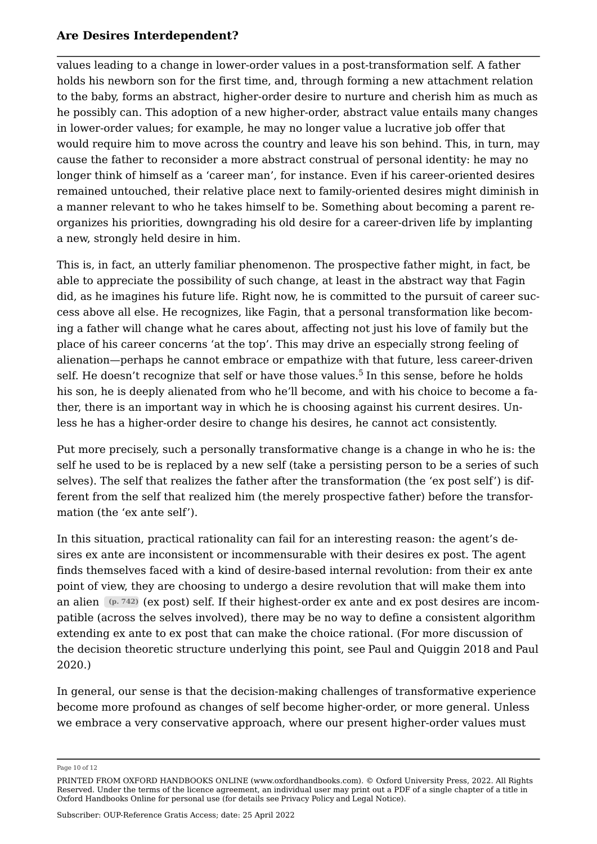values leading to a change in lower-order values in a post-transformation self. A father holds his newborn son for the first time, and, through forming a new attachment relation to the baby, forms an abstract, higher-order desire to nurture and cherish him as much as he possibly can. This adoption of a new higher-order, abstract value entails many changes in lower-order values; for example, he may no longer value a lucrative job offer that would require him to move across the country and leave his son behind. This, in turn, may cause the father to reconsider a more abstract construal of personal identity: he may no longer think of himself as a 'career man', for instance. Even if his career-oriented desires remained untouched, their relative place next to family-oriented desires might diminish in a manner relevant to who he takes himself to be. Something about becoming a parent reorganizes his priorities, downgrading his old desire for a career-driven life by implanting a new, strongly held desire in him.

This is, in fact, an utterly familiar phenomenon. The prospective father might, in fact, be able to appreciate the possibility of such change, at least in the abstract way that Fagin did, as he imagines his future life. Right now, he is committed to the pursuit of career success above all else. He recognizes, like Fagin, that a personal transformation like becoming a father will change what he cares about, affecting not just his love of family but the place of his career concerns 'at the top'. This may drive an especially strong feeling of alienation—perhaps he cannot embrace or empathize with that future, less career-driven self. He doesn't recognize that self or have those values.<sup>[5](#page-11-7)</sup> In this sense, before he holds his son, he is deeply alienated from who he'll become, and with his choice to become a father, there is an important way in which he is choosing against his current desires. Unless he has a higher-order desire to change his desires, he cannot act consistently.

<span id="page-9-0"></span>Put more precisely, such a personally transformative change is a change in who he is: the self he used to be is replaced by a new self (take a persisting person to be a series of such selves). The self that realizes the father after the transformation (the 'ex post self') is different from the self that realized him (the merely prospective father) before the transformation (the 'ex ante self').

In this situation, practical rationality can fail for an interesting reason: the agent's desires ex ante are inconsistent or incommensurable with their desires ex post. The agent finds themselves faced with a kind of desire-based internal revolution: from their ex ante point of view, they are choosing to undergo a desire revolution that will make them into an alien **(p. 742)** (ex post) self. If their highest-order ex ante and ex post desires are incompatible (across the selves involved), there may be no way to define a consistent algorithm extending ex ante to ex post that can make the choice rational. (For more discussion of the decision theoretic structure underlying this point, see [Paul and Quiggin 2018](#page-10-13) and [Paul](#page-10-15) [2020](#page-10-15).)

In general, our sense is that the decision-making challenges of transformative experience become more profound as changes of self become higher-order, or more general. Unless we embrace a very conservative approach, where our present higher-order values must

Page 10 of 12

PRINTED FROM OXFORD HANDBOOKS ONLINE (www.oxfordhandbooks.com). © Oxford University Press, 2022. All Rights Reserved. Under the terms of the licence agreement, an individual user may print out a PDF of a single chapter of a title in Oxford Handbooks Online for personal use (for details see [Privacy Policy](https://global.oup.com/privacy) and [Legal Notice\)](https://www.oxfordhandbooks.com/page/legal-notice).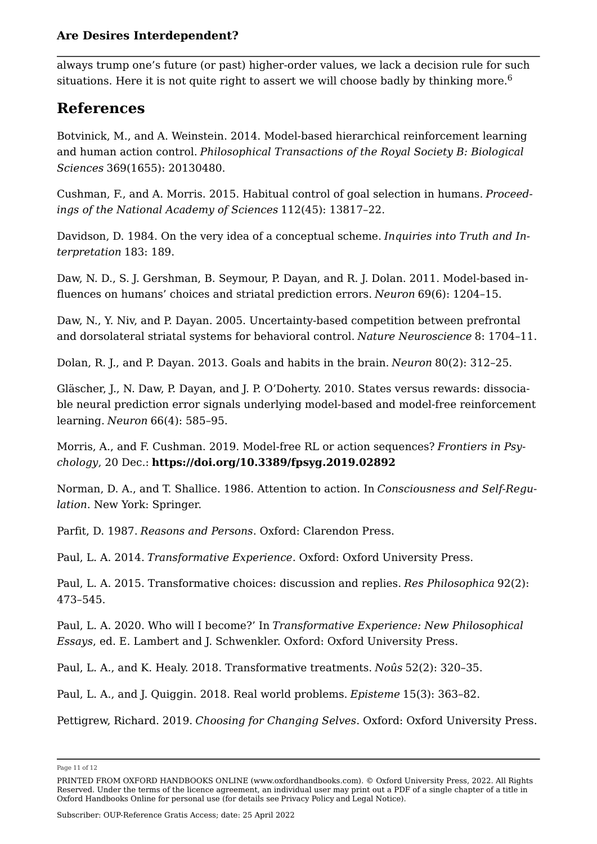<span id="page-10-16"></span>always trump one's future (or past) higher-order values, we lack a decision rule for such situations. Here it is not quite right to assert we will choose badly by thinking more.<sup>[6](#page-11-8)</sup>

### **References**

<span id="page-10-9"></span>Botvinick, M., and A. Weinstein. 2014. Model-based hierarchical reinforcement learning and human action control. *Philosophical Transactions of the Royal Society B: Biological Sciences* 369(1655): 20130480.

<span id="page-10-10"></span>Cushman, F., and A. Morris. 2015. Habitual control of goal selection in humans. *Proceedings of the National Academy of Sciences* 112(45): 13817–22.

<span id="page-10-2"></span>Davidson, D. 1984. On the very idea of a conceptual scheme. *Inquiries into Truth and Interpretation* 183: 189.

<span id="page-10-6"></span>Daw, N. D., S. J. Gershman, B. Seymour, P. Dayan, and R. J. Dolan. 2011. Model-based influences on humans' choices and striatal prediction errors. *Neuron* 69(6): 1204–15.

<span id="page-10-4"></span>Daw, N., Y. Niv, and P. Dayan. 2005. Uncertainty-based competition between prefrontal and dorsolateral striatal systems for behavioral control. *Nature Neuroscience* 8: 1704–11.

<span id="page-10-3"></span>Dolan, R. J., and P. Dayan. 2013. Goals and habits in the brain. *Neuron* 80(2): 312–25.

<span id="page-10-5"></span>Gläscher, J., N. Daw, P. Dayan, and J. P. O'Doherty. 2010. States versus rewards: dissociable neural prediction error signals underlying model-based and model-free reinforcement learning. *Neuron* 66(4): 585–95.

<span id="page-10-7"></span>Morris, A., and F. Cushman. 2019. Model-free RL or action sequences? *Frontiers in Psychology*, 20 Dec.: **<https://doi.org/10.3389/fpsyg.2019.02892>**

<span id="page-10-8"></span>Norman, D. A., and T. Shallice. 1986. Attention to action. In *Consciousness and Self-Regulation*. New York: Springer.

<span id="page-10-11"></span>Parfit, D. 1987. *Reasons and Persons*. Oxford: Clarendon Press.

<span id="page-10-0"></span>Paul, L. A. 2014. *Transformative Experience*. Oxford: Oxford University Press.

<span id="page-10-1"></span>Paul, L. A. 2015. Transformative choices: discussion and replies. *Res Philosophica* 92(2): 473–545.

<span id="page-10-15"></span>Paul, L. A. 2020. Who will I become?' In *Transformative Experience: New Philosophical Essays*, ed. E. Lambert and J. Schwenkler. Oxford: Oxford University Press.

<span id="page-10-12"></span>Paul, L. A., and K. Healy. 2018. Transformative treatments. *Noûs* 52(2): 320–35.

<span id="page-10-13"></span>Paul, L. A., and J. Quiggin. 2018. Real world problems. *Episteme* 15(3): 363–82.

<span id="page-10-14"></span>Pettigrew, Richard. 2019. *Choosing for Changing Selves*. Oxford: Oxford University Press.

Page 11 of 12

PRINTED FROM OXFORD HANDBOOKS ONLINE (www.oxfordhandbooks.com). © Oxford University Press, 2022. All Rights Reserved. Under the terms of the licence agreement, an individual user may print out a PDF of a single chapter of a title in Oxford Handbooks Online for personal use (for details see [Privacy Policy](https://global.oup.com/privacy) and [Legal Notice\)](https://www.oxfordhandbooks.com/page/legal-notice).